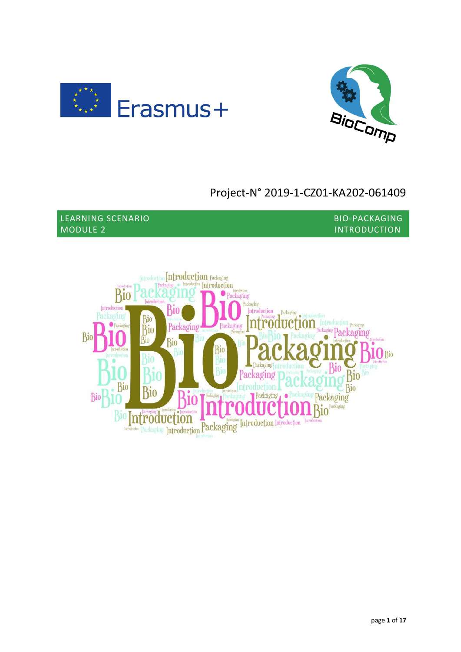



# Project-N° 2019-1-CZ01-KA202-061409

LEARNING SCENARIO BIO-PACKAGING MODULE 2 INTRODUCTION

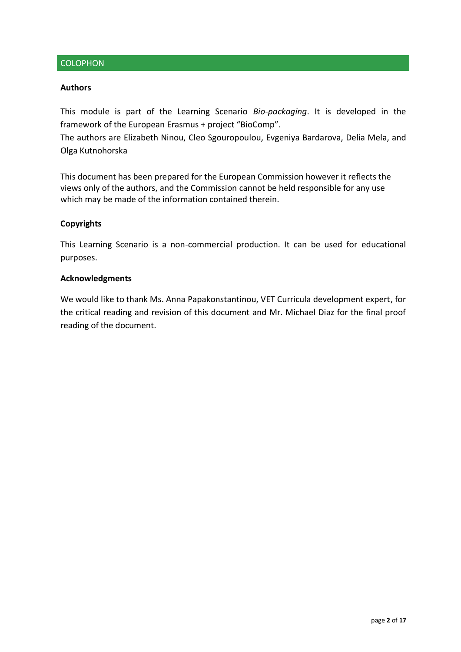## **COLOPHON**

#### **Authors**

This module is part of the Learning Scenario *Bio-packaging*. It is developed in the framework of the European Erasmus + project "BioComp".

The authors are Elizabeth Ninou, Cleo Sgouropoulou, Evgeniya Bardarova, Delia Mela, and Olga Kutnohorska

This document has been prepared for the European Commission however it reflects the views only of the authors, and the Commission cannot be held responsible for any use which may be made of the information contained therein.

### **Copyrights**

This Learning Scenario is a non-commercial production. It can be used for educational purposes.

#### **Acknowledgments**

We would like to thank Ms. Anna Papakonstantinou, VET Curricula development expert, for the critical reading and revision of this document and Mr. Michael Diaz for the final proof reading of the document.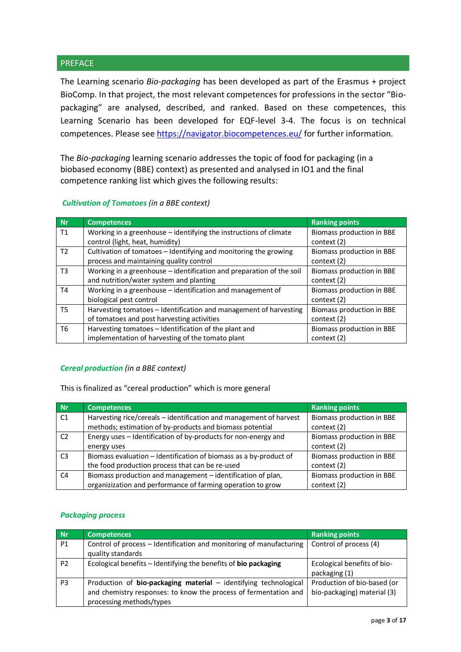## **PREFACE**

The Learning scenario *Bio-packaging* has been developed as part of the Erasmus + project BioComp. In that project, the most relevant competences for professions in the sector "Biopackaging" are analysed, described, and ranked. Based on these competences, this Learning Scenario has been developed for EQF-level 3-4. The focus is on technical competences. Please see<https://navigator.biocompetences.eu/> for further information.

The *Bio-packaging* learning scenario addresses the topic of food for packaging (in a biobased economy (BBE) context) as presented and analysed in IO1 and the final competence ranking list which gives the following results:

*Cultivation of Tomatoes (in a BBE context)*

| <b>Nr</b>      | <b>Competences</b>                                                   | <b>Ranking points</b>     |  |
|----------------|----------------------------------------------------------------------|---------------------------|--|
| T1             | Working in a greenhouse $-$ identifying the instructions of climate  | Biomass production in BBE |  |
|                | control (light, heat, humidity)                                      | context (2)               |  |
| T <sub>2</sub> | Cultivation of tomatoes - Identifying and monitoring the growing     | Biomass production in BBE |  |
|                | process and maintaining quality control                              | context (2)               |  |
| T3             | Working in a greenhouse - identification and preparation of the soil | Biomass production in BBE |  |
|                | and nutrition/water system and planting                              | context (2)               |  |
| T4             | Working in a greenhouse - identification and management of           | Biomass production in BBE |  |
|                | biological pest control                                              | context (2)               |  |
| T <sub>5</sub> | Harvesting tomatoes - Identification and management of harvesting    | Biomass production in BBE |  |
|                | of tomatoes and post harvesting activities                           | context (2)               |  |
| T6             | Harvesting tomatoes - Identification of the plant and                | Biomass production in BBE |  |
|                | implementation of harvesting of the tomato plant                     | context (2)               |  |

#### *Cereal production (in a BBE context)*

This is finalized as "cereal production" which is more general

| <b>Nr</b>      | <b>Competences</b>                                                 | <b>Ranking points</b>     |
|----------------|--------------------------------------------------------------------|---------------------------|
| C1             | Harvesting rice/cereals - identification and management of harvest | Biomass production in BBE |
|                | methods; estimation of by-products and biomass potential           | context (2)               |
| C <sub>2</sub> | Energy uses - Identification of by-products for non-energy and     | Biomass production in BBE |
|                | energy uses                                                        | context (2)               |
| C <sub>3</sub> | Biomass evaluation - Identification of biomass as a by-product of  | Biomass production in BBE |
|                | the food production process that can be re-used                    | context (2)               |
| C <sub>4</sub> | Biomass production and management - identification of plan,        | Biomass production in BBE |
|                | organizization and performance of farming operation to grow        | context (2)               |

#### *Packaging process*

| <b>Nr</b>      | <b>Competences</b>                                                                                                                                               | <b>Ranking points</b>                                      |
|----------------|------------------------------------------------------------------------------------------------------------------------------------------------------------------|------------------------------------------------------------|
| P <sub>1</sub> | Control of process - Identification and monitoring of manufacturing<br>quality standards                                                                         | Control of process (4)                                     |
| P <sub>2</sub> | Ecological benefits - Identifying the benefits of bio packaging                                                                                                  | Ecological benefits of bio-<br>packaging (1)               |
| P <sub>3</sub> | Production of bio-packaging material - identifying technological<br>and chemistry responses: to know the process of fermentation and<br>processing methods/types | Production of bio-based (or<br>bio-packaging) material (3) |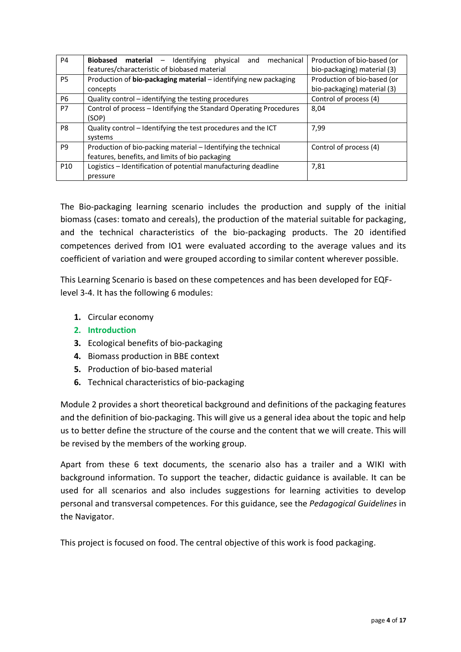| P <sub>4</sub>  | Biobased material - Identifying<br>mechanical<br>physical<br>and<br>features/characteristic of biobased material  | Production of bio-based (or<br>bio-packaging) material (3) |  |
|-----------------|-------------------------------------------------------------------------------------------------------------------|------------------------------------------------------------|--|
| P5              | Production of bio-packaging material - identifying new packaging<br>concepts                                      | Production of bio-based (or<br>bio-packaging) material (3) |  |
| P6              | Quality control - identifying the testing procedures                                                              | Control of process (4)                                     |  |
| P7              | Control of process - Identifying the Standard Operating Procedures<br>(SOP)                                       | 8,04                                                       |  |
| P8              | Quality control - Identifying the test procedures and the ICT<br>systems                                          | 7,99                                                       |  |
| P <sub>9</sub>  | Production of bio-packing material - Identifying the technical<br>features, benefits, and limits of bio packaging | Control of process (4)                                     |  |
| P <sub>10</sub> | Logistics - Identification of potential manufacturing deadline                                                    | 7,81                                                       |  |
|                 | pressure                                                                                                          |                                                            |  |

The Bio-packaging learning scenario includes the production and supply of the initial biomass (cases: tomato and cereals), the production of the material suitable for packaging, and the technical characteristics of the bio-packaging products. The 20 identified competences derived from IO1 were evaluated according to the average values and its coefficient of variation and were grouped according to similar content wherever possible.

This Learning Scenario is based on these competences and has been developed for EQFlevel 3-4. It has the following 6 modules:

- **1.** Circular economy
- **2. Introduction**
- **3.** Ecological benefits of bio-packaging
- **4.** Biomass production in BBE context
- **5.** Production of bio-based material
- **6.** Technical characteristics of bio-packaging

Module 2 provides a short theoretical background and definitions of the packaging features and the definition of bio-packaging. This will give us a general idea about the topic and help us to better define the structure of the course and the content that we will create. This will be revised by the members of the working group.

Apart from these 6 text documents, the scenario also has a trailer and a WIKI with background information. To support the teacher, didactic guidance is available. It can be used for all scenarios and also includes suggestions for learning activities to develop personal and transversal competences. For this guidance, see the *Pedagogical Guidelines* in the Navigator.

This project is focused on food. The central objective of this work is food packaging.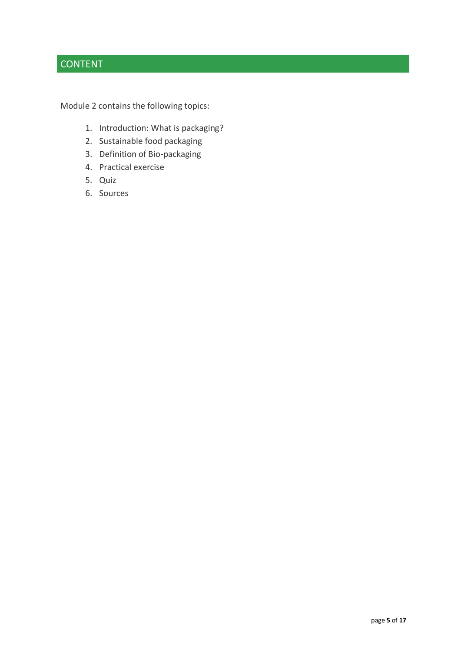## CONTENT

Module 2 contains the following topics:

- 1. Introduction: What is packaging?
- 2. Sustainable food packaging
- 3. Definition of Bio-packaging
- 4. Practical exercise
- 5. Quiz
- 6. Sources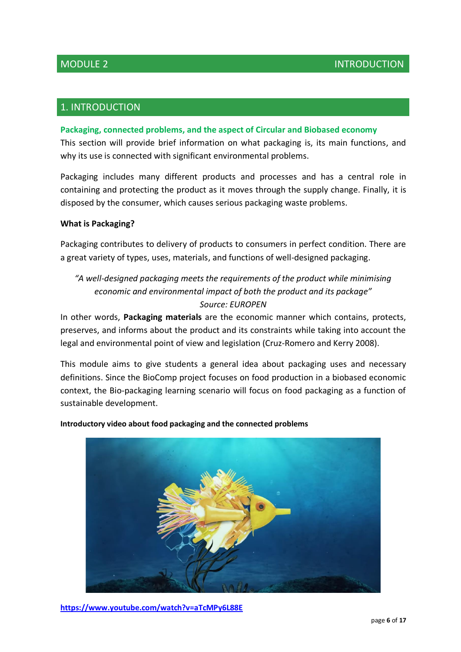## 1. INTRODUCTION

### **Packaging, connected problems, and the aspect of Circular and Biobased economy**

This section will provide brief information on what packaging is, its main functions, and why its use is connected with significant environmental problems.

Packaging includes many different products and processes and has a central role in containing and protecting the product as it moves through the supply change. Finally, it is disposed by the consumer, which causes serious packaging waste problems.

### **What is Packaging?**

Packaging contributes to delivery of products to consumers in perfect condition. There are a great variety of types, uses, materials, and functions of well-designed packaging.

## *"A well-designed packaging meets the requirements of the product while minimising economic and environmental impact of both the product and its package" Source: EUROPEN*

In other words, **Packaging materials** are the economic manner which contains, protects, preserves, and informs about the product and its constraints while taking into account the legal and environmental point of view and legislation (Cruz-Romero and Kerry 2008).

This module aims to give students a general idea about packaging uses and necessary definitions. Since the BioComp project focuses on food production in a biobased economic context, the Bio-packaging learning scenario will focus on food packaging as a function of sustainable development.

**Introductory video about food packaging and the connected problems**



**<https://www.youtube.com/watch?v=aTcMPy6L88E>**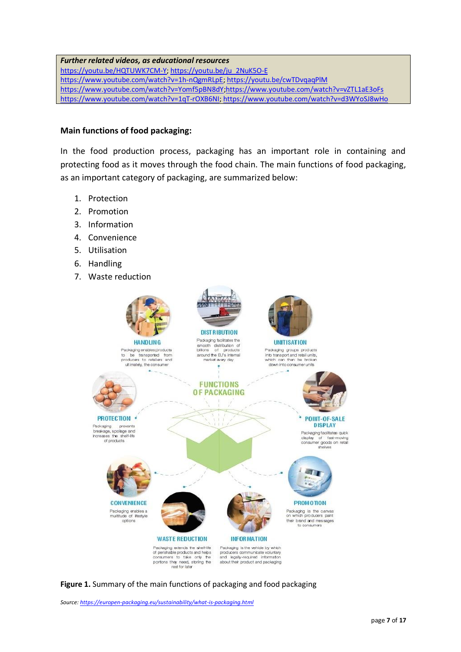### *Further related videos, as educational resources*

[https://youtu.be/HQTUWK7CM-Y;](https://youtu.be/HQTUWK7CM-Y) [https://youtu.be/ju\\_2NuK5O-E](https://youtu.be/ju_2NuK5O-E) [https://www.youtube.com/watch?v=1h-nQgmRLpE;](https://www.youtube.com/watch?v=1h-nQgmRLpE) <https://youtu.be/cwTDvqaqPlM> <https://www.youtube.com/watch?v=Yomf5pBN8dY>[;https://www.youtube.com/watch?v=vZTL1aE3oFs](https://www.youtube.com/watch?v=vZTL1aE3oFs) [https://www.youtube.com/watch?v=1qT-rOXB6NI;](https://www.youtube.com/watch?v=1qT-rOXB6NI)<https://www.youtube.com/watch?v=d3WYoSJ8wHo>

### **Main functions of food packaging:**

In the food production process, packaging has an important role in containing and protecting food as it moves through the food chain. The main functions of food packaging, as an important category of packaging, are summarized below:

- 1. Protection
- 2. Promotion
- 3. Information
- 4. Convenience
- 5. Utilisation
- 6. Handling
- 7. Waste reduction



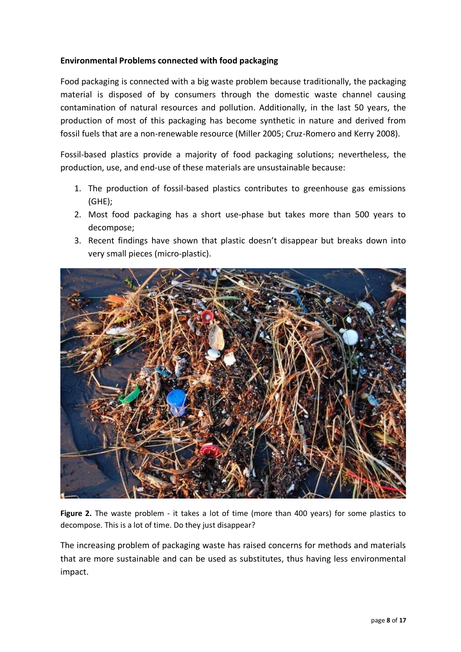## **Environmental Problems connected with food packaging**

Food packaging is connected with a big waste problem because traditionally, the packaging material is disposed of by consumers through the domestic waste channel causing contamination of natural resources and pollution. Additionally, in the last 50 years, the production of most of this packaging has become synthetic in nature and derived from fossil fuels that are a non-renewable resource (Miller 2005; Cruz-Romero and Kerry 2008).

Fossil-based plastics provide a majority of food packaging solutions; nevertheless, the production, use, and end-use of these materials are unsustainable because:

- 1. The production of fossil-based plastics contributes to greenhouse gas emissions (GHE);
- 2. Most food packaging has a short use-phase but takes more than 500 years to decompose;
- 3. Recent findings have shown that plastic doesn't disappear but breaks down into very small pieces (micro-plastic).



**Figure 2.** The waste problem - it takes a lot of time (more than 400 years) for some plastics to decompose. This is a lot of time. Do they just disappear?

The increasing problem of packaging waste has raised concerns for methods and materials that are more sustainable and can be used as substitutes, thus having less environmental impact.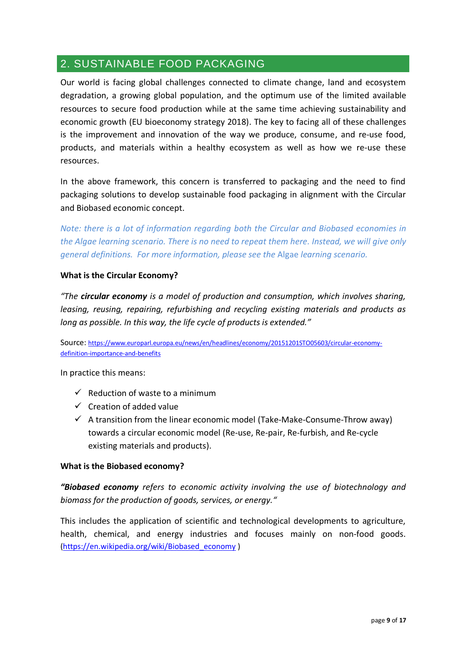## 2. SUSTAINABLE FOOD PACKAGING

Our world is facing global challenges connected to climate change, land and ecosystem degradation, a growing global population, and the optimum use of the limited available resources to secure food production while at the same time achieving sustainability and economic growth (EU bioeconomy strategy 2018). The key to facing all of these challenges is the improvement and innovation of the way we produce, consume, and re-use food, products, and materials within a healthy ecosystem as well as how we re-use these resources.

In the above framework, this concern is transferred to packaging and the need to find packaging solutions to develop sustainable food packaging in alignment with the Circular and Biobased economic concept.

*Note: there is a lot of information regarding both the Circular and Biobased economies in the Algae learning scenario. There is no need to repeat them here. Instead, we will give only general definitions. For more information, please see the* Algae *learning scenario.*

## **What is the Circular Economy?**

*"The circular economy is a model of production and consumption, which involves sharing, leasing, reusing, repairing, refurbishing and recycling existing materials and products as long as possible. In this way, the life cycle of products is extended."*

Source: [https://www.europarl.europa.eu/news/en/headlines/economy/20151201STO05603/circular-economy](https://www.europarl.europa.eu/news/en/headlines/economy/20151201STO05603/circular-economy-definition-importance-and-benefits)[definition-importance-and-benefits](https://www.europarl.europa.eu/news/en/headlines/economy/20151201STO05603/circular-economy-definition-importance-and-benefits)

In practice this means:

- $\checkmark$  Reduction of waste to a minimum
- $\checkmark$  Creation of added value
- $\checkmark$  A transition from the linear economic model (Take-Make-Consume-Throw away) towards a circular economic model (Re-use, Re-pair, Re-furbish, and Re-cycle existing materials and products).

### **What is the Biobased economy?**

*"Biobased economy refers to economic activity involving the use of biotechnology and biomass for the production of goods, services, or energy."*

This includes the application of scientific and technological developments to agriculture, health, chemical, and energy industries and focuses mainly on non-food goods. [\(https://en.wikipedia.org/wiki/Biobased\\_economy](https://en.wikipedia.org/wiki/Biobased_economy) )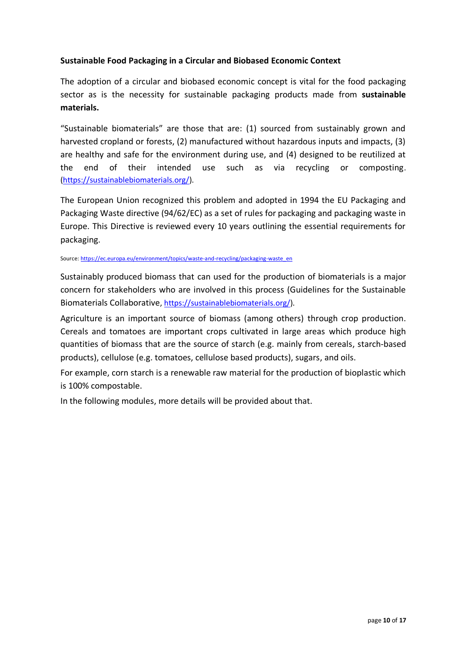## **Sustainable Food Packaging in a Circular and Biobased Economic Context**

The adoption of a circular and biobased economic concept is vital for the food packaging sector as is the necessity for sustainable packaging products made from **sustainable materials.**

"Sustainable biomaterials" are those that are: (1) sourced from sustainably grown and harvested cropland or forests, (2) manufactured without hazardous inputs and impacts, (3) are healthy and safe for the environment during use, and (4) designed to be reutilized at the end of their intended use such as via recycling or composting. [\(https://sustainablebiomaterials.org/\)](https://sustainablebiomaterials.org/).

The European Union recognized this problem and adopted in 1994 the EU Packaging and Packaging Waste directive (94/62/EC) as a set of rules for packaging and packaging waste in Europe. This Directive is reviewed every 10 years outlining the essential requirements for packaging.

#### Source[: https://ec.europa.eu/environment/topics/waste-and-recycling/packaging-waste\\_en](https://ec.europa.eu/environment/topics/waste-and-recycling/packaging-waste_en)

Sustainably produced biomass that can used for the production of biomaterials is a major concern for stakeholders who are involved in this process (Guidelines for the Sustainable Biomaterials Collaborative[, https://sustainablebiomaterials.org/\)](https://sustainablebiomaterials.org/).

Agriculture is an important source of biomass (among others) through crop production. Cereals and tomatoes are important crops cultivated in large areas which produce high quantities of biomass that are the source of starch (e.g. mainly from cereals, starch-based products), cellulose (e.g. tomatoes, cellulose based products), sugars, and oils.

For example, corn starch is a renewable raw material for the production of bioplastic which is 100% compostable.

In the following modules, more details will be provided about that.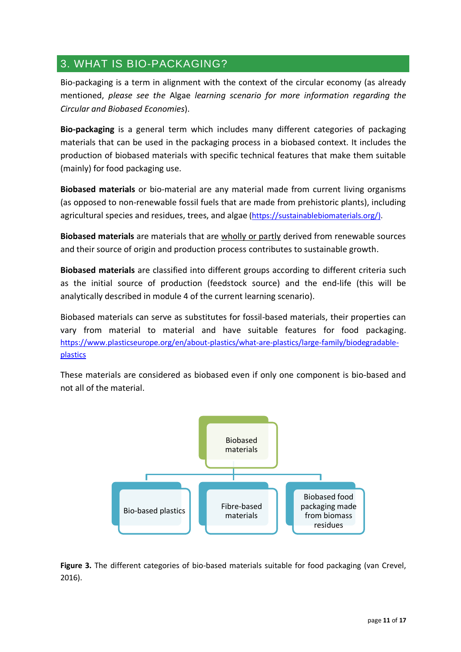## 3. WHAT IS BIO-PACKAGING?

Bio-packaging is a term in alignment with the context of the circular economy (as already mentioned, *please see the* Algae *learning scenario for more information regarding the Circular and Biobased Economies*).

**Bio-packaging** is a general term which includes many different categories of packaging materials that can be used in the packaging process in a biobased context. It includes the production of biobased materials with specific technical features that make them suitable (mainly) for food packaging use.

**Biobased materials** or bio-material are any material made from current living organisms (as opposed to non-renewable fossil fuels that are made from prehistoric plants), including agricultural species and residues, trees, and algae [\(https://sustainablebiomaterials.org/\)](https://sustainablebiomaterials.org/).

**Biobased materials** are materials that are wholly or partly derived from renewable sources and their source of origin and production process contributes to sustainable growth.

**Biobased materials** are classified into different groups according to different criteria such as the initial source of production (feedstock source) and the end-life (this will be analytically described in module 4 of the current learning scenario).

Biobased materials can serve as substitutes for fossil-based materials, their properties can vary from material to material and have suitable features for food packaging. [https://www.plasticseurope.org/en/about-plastics/what-are-plastics/large-family/biodegradable](https://www.plasticseurope.org/en/about-plastics/what-are-plastics/large-family/biodegradable-plastics)[plastics](https://www.plasticseurope.org/en/about-plastics/what-are-plastics/large-family/biodegradable-plastics)

These materials are considered as biobased even if only one component is bio-based and not all of the material.



**Figure 3.** The different categories of bio-based materials suitable for food packaging (van Crevel, 2016).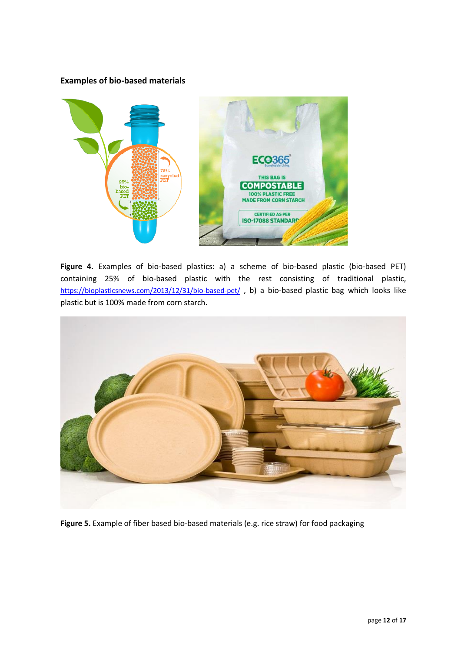### **Examples of bio-based materials**



**Figure 4.** Examples of bio-based plastics: a) a scheme of bio-based plastic (bio-based PET) containing 25% of bio-based plastic with the rest consisting of traditional plastic, <https://bioplasticsnews.com/2013/12/31/bio-based-pet/>, b) a bio-based plastic bag which looks like plastic but is 100% made from corn starch.



**Figure 5.** Example of fiber based bio-based materials (e.g. rice straw) for food packaging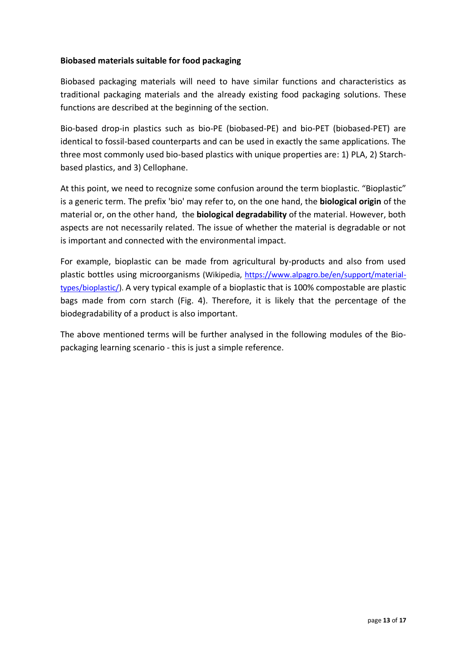## **Biobased materials suitable for food packaging**

Biobased packaging materials will need to have similar functions and characteristics as traditional packaging materials and the already existing food packaging solutions. These functions are described at the beginning of the section.

Bio-based drop-in plastics such as bio-PE (biobased-PE) and bio-PET (biobased-PET) are identical to fossil-based counterparts and can be used in exactly the same applications. The three most commonly used bio-based plastics with unique properties are: 1) PLA, 2) Starchbased plastics, and 3) Cellophane.

At this point, we need to recognize some confusion around the term bioplastic. "Bioplastic" is a generic term. The prefix 'bio' may refer to, on the one hand, the **biological origin** of the material or, on the other hand, the **biological degradability** of the material. However, both aspects are not necessarily related. The issue of whether the material is degradable or not is important and connected with the environmental impact.

For example, bioplastic can be made from agricultural by-products and also from used plastic bottles using microorganisms (Wikipedia, [https://www.alpagro.be/en/support/material](https://www.alpagro.be/en/support/material-types/bioplastic/)[types/bioplastic/\)](https://www.alpagro.be/en/support/material-types/bioplastic/). A very typical example of a bioplastic that is 100% compostable are plastic bags made from corn starch (Fig. 4). Therefore, it is likely that the percentage of the biodegradability of a product is also important.

The above mentioned terms will be further analysed in the following modules of the Biopackaging learning scenario - this is just a simple reference.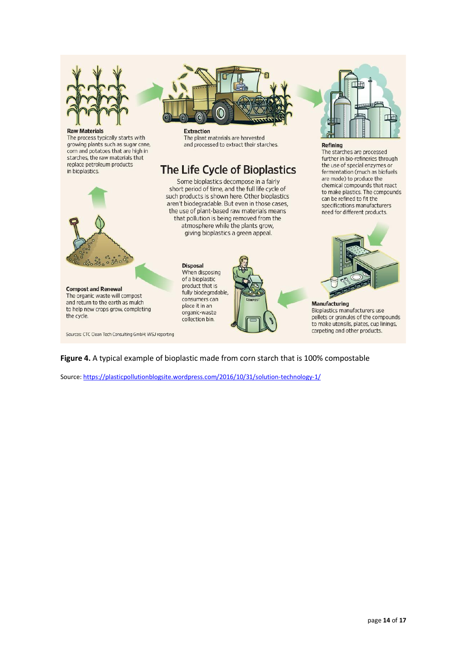

#### **Raw Materials**

The process typically starts with growing plants such as sugar cane, corn and potatoes that are high in starches, the raw materials that replace petroleum products in bioplastics.

 $\frac{3}{6}$   $\frac{3}{6}$   $\frac{5}{6}$ 

**Compost and Renewal** 

the cycle.

The organic waste will compost

and return to the earth as mulch

to help new crops grow, completing

Sources: CTC Clean Tech Consulting GmbH; WSJ reporting



**Extraction** The plant materials are harvested and processed to extract their starches.

# The Life Cycle of Bioplastics

Some bioplastics decompose in a fairly short period of time, and the full life cycle of such products is shown here. Other bioplastics aren't biodegradable. But even in those cases, the use of plant-based raw materials means that pollution is being removed from the atmosphere while the plants grow, giving bioplastics a green appeal.

> **Disposal** When disposing of a bioplastic product that is fully biodegradable, consumers can place it in an organic-waste collection bin.



#### Refining

The starches are processed further in bio-refineries through the use of special enzymes or fermentation (much as biofuels are made) to produce the chemical compounds that react to make plastics. The compounds can be refined to fit the specifications manufacturers need for different products.



#### **Manufacturing Bioplastics manufacturers use** pellets or granules of the compounds to make utensils, plates, cup linings, carpeting and other products.

**Figure 4.** A typical example of bioplastic made from corn starch that is 100% compostable

Source[: https://plasticpollutionblogsite.wordpress.com/2016/10/31/solution-technology-1/](https://plasticpollutionblogsite.wordpress.com/2016/10/31/solution-technology-1/)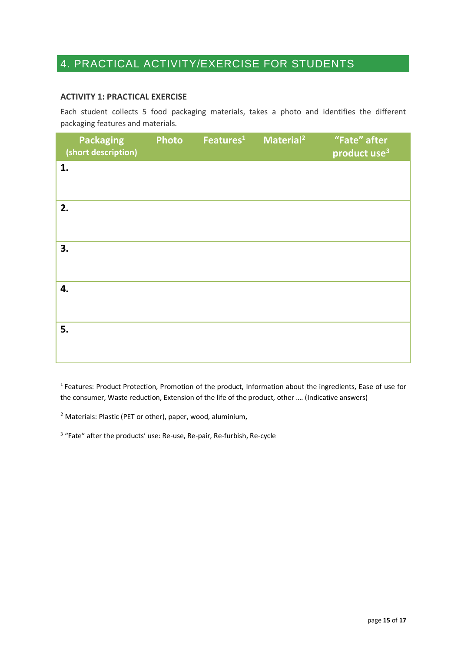## 4. PRACTICAL ACTIVITY/EXERCISE FOR STUDENTS

### **ACTIVITY 1: PRACTICAL EXERCISE**

Each student collects 5 food packaging materials, takes a photo and identifies the different packaging features and materials.

|    | <b>Packaging</b><br>(short description) | <b>Photo</b> | Features <sup>1</sup> | Material <sup>2</sup> | "Fate" after<br>product use <sup>3</sup> |
|----|-----------------------------------------|--------------|-----------------------|-----------------------|------------------------------------------|
| 1. |                                         |              |                       |                       |                                          |
| 2. |                                         |              |                       |                       |                                          |
| 3. |                                         |              |                       |                       |                                          |
| 4. |                                         |              |                       |                       |                                          |
| 5. |                                         |              |                       |                       |                                          |

<sup>1</sup>Features: Product Protection, Promotion of the product, Information about the ingredients, Ease of use for the consumer, Waste reduction, Extension of the life of the product, other …. (Indicative answers)

 $2$  Materials: Plastic (PET or other), paper, wood, aluminium,

<sup>3</sup> "Fate" after the products' use: Re-use, Re-pair, Re-furbish, Re-cycle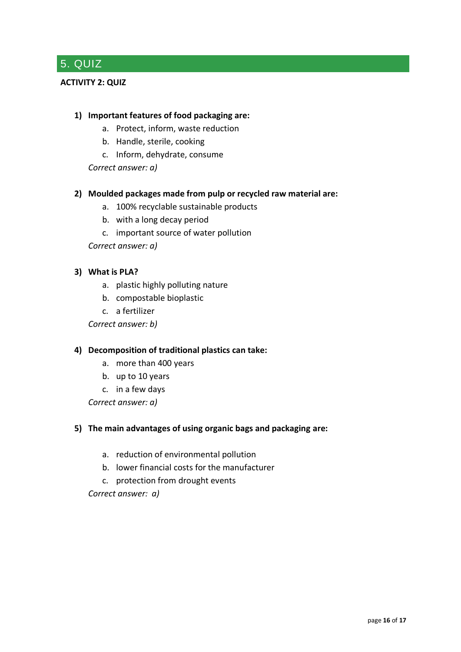## 5. QUIZ

## **ACTIVITY 2: QUIZ**

### **1) Important features of food packaging are:**

- a. Protect, inform, waste reduction
- b. Handle, sterile, cooking
- c. Inform, dehydrate, consume

*Correct answer: a)*

### **2) Moulded packages made from pulp or recycled raw material are:**

- a. 100% recyclable sustainable products
- b. with a long decay period
- c. important source of water pollution

*Correct answer: a)*

### **3) What is PLA?**

- a. plastic highly polluting nature
- b. compostable bioplastic
- c. a fertilizer

*Correct answer: b)*

### **4) Decomposition of traditional plastics can take:**

- a. more than 400 years
- b. up to 10 years
- c. in a few days

*Correct answer: a)*

### **5) The main advantages of using organic bags and packaging are:**

- a. reduction of environmental pollution
- b. lower financial costs for the manufacturer
- c. protection from drought events

*Correct answer: a)*